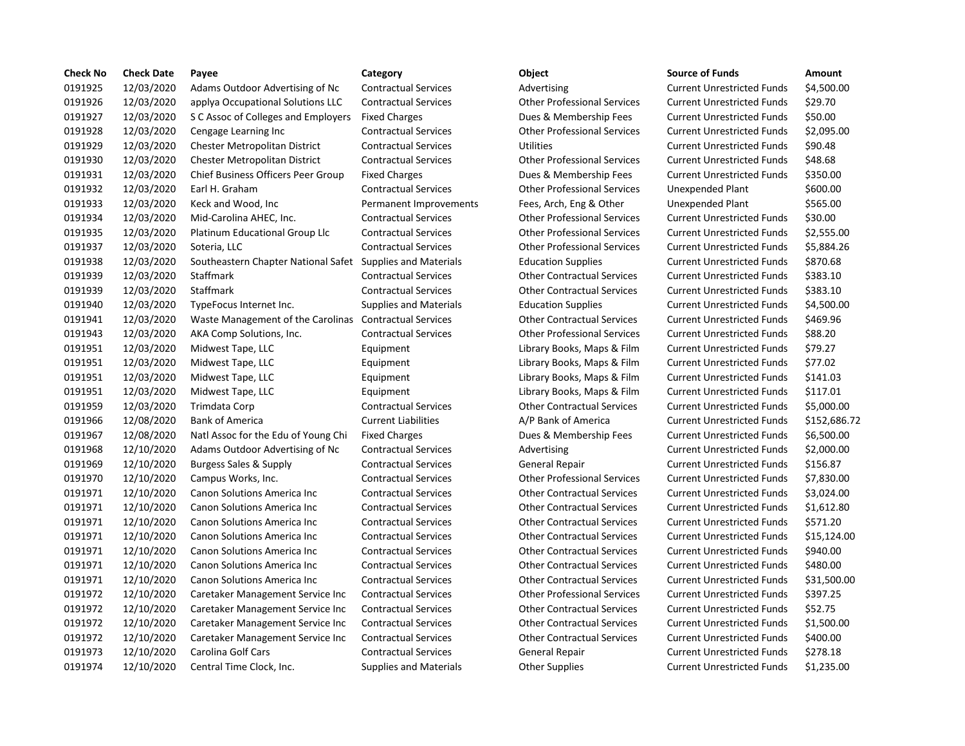| <b>Check No</b> | <b>Check Date</b> | Payee                                                      | Category                      | Object                             | <b>Source of Funds</b>            | <b>Amount</b> |
|-----------------|-------------------|------------------------------------------------------------|-------------------------------|------------------------------------|-----------------------------------|---------------|
| 0191925         | 12/03/2020        | Adams Outdoor Advertising of Nc                            | <b>Contractual Services</b>   | Advertising                        | <b>Current Unrestricted Funds</b> | \$4,500.0     |
| 0191926         | 12/03/2020        | applya Occupational Solutions LLC                          | <b>Contractual Services</b>   | <b>Other Professional Services</b> | <b>Current Unrestricted Funds</b> | \$29.70       |
| 0191927         | 12/03/2020        | S C Assoc of Colleges and Employers                        | <b>Fixed Charges</b>          | Dues & Membership Fees             | <b>Current Unrestricted Funds</b> | \$50.00       |
| 0191928         | 12/03/2020        | Cengage Learning Inc                                       | <b>Contractual Services</b>   | <b>Other Professional Services</b> | <b>Current Unrestricted Funds</b> | \$2,095.0     |
| 0191929         | 12/03/2020        | Chester Metropolitan District                              | <b>Contractual Services</b>   | <b>Utilities</b>                   | <b>Current Unrestricted Funds</b> | \$90.48       |
| 0191930         | 12/03/2020        | <b>Chester Metropolitan District</b>                       | <b>Contractual Services</b>   | <b>Other Professional Services</b> | <b>Current Unrestricted Funds</b> | \$48.68       |
| 0191931         | 12/03/2020        | Chief Business Officers Peer Group                         | <b>Fixed Charges</b>          | Dues & Membership Fees             | <b>Current Unrestricted Funds</b> | \$350.00      |
| 0191932         | 12/03/2020        | Earl H. Graham                                             | <b>Contractual Services</b>   | <b>Other Professional Services</b> | Unexpended Plant                  | \$600.00      |
| 0191933         | 12/03/2020        | Keck and Wood, Inc                                         | Permanent Improvements        | Fees, Arch, Eng & Other            | Unexpended Plant                  | \$565.00      |
| 0191934         | 12/03/2020        | Mid-Carolina AHEC, Inc.                                    | <b>Contractual Services</b>   | <b>Other Professional Services</b> | <b>Current Unrestricted Funds</b> | \$30.00       |
| 0191935         | 12/03/2020        | Platinum Educational Group Llc                             | <b>Contractual Services</b>   | <b>Other Professional Services</b> | <b>Current Unrestricted Funds</b> | \$2,555.0     |
| 0191937         | 12/03/2020        | Soteria, LLC                                               | <b>Contractual Services</b>   | <b>Other Professional Services</b> | <b>Current Unrestricted Funds</b> | \$5,884.2     |
| 0191938         | 12/03/2020        | Southeastern Chapter National Safet Supplies and Materials |                               | <b>Education Supplies</b>          | <b>Current Unrestricted Funds</b> | \$870.68      |
| 0191939         | 12/03/2020        | Staffmark                                                  | <b>Contractual Services</b>   | <b>Other Contractual Services</b>  | <b>Current Unrestricted Funds</b> | \$383.10      |
| 0191939         | 12/03/2020        | <b>Staffmark</b>                                           | <b>Contractual Services</b>   | <b>Other Contractual Services</b>  | <b>Current Unrestricted Funds</b> | \$383.10      |
| 0191940         | 12/03/2020        | TypeFocus Internet Inc.                                    | <b>Supplies and Materials</b> | <b>Education Supplies</b>          | <b>Current Unrestricted Funds</b> | \$4,500.0     |
| 0191941         | 12/03/2020        | Waste Management of the Carolinas Contractual Services     |                               | <b>Other Contractual Services</b>  | <b>Current Unrestricted Funds</b> | \$469.96      |
| 0191943         | 12/03/2020        | AKA Comp Solutions, Inc.                                   | <b>Contractual Services</b>   | <b>Other Professional Services</b> | <b>Current Unrestricted Funds</b> | \$88.20       |
| 0191951         | 12/03/2020        | Midwest Tape, LLC                                          | Equipment                     | Library Books, Maps & Film         | <b>Current Unrestricted Funds</b> | \$79.27       |
| 0191951         | 12/03/2020        | Midwest Tape, LLC                                          | Equipment                     | Library Books, Maps & Film         | <b>Current Unrestricted Funds</b> | \$77.02       |
| 0191951         | 12/03/2020        | Midwest Tape, LLC                                          | Equipment                     | Library Books, Maps & Film         | <b>Current Unrestricted Funds</b> | \$141.03      |
| 0191951         | 12/03/2020        | Midwest Tape, LLC                                          | Equipment                     | Library Books, Maps & Film         | <b>Current Unrestricted Funds</b> | \$117.01      |
| 0191959         | 12/03/2020        | Trimdata Corp                                              | <b>Contractual Services</b>   | <b>Other Contractual Services</b>  | <b>Current Unrestricted Funds</b> | \$5,000.0     |
| 0191966         | 12/08/2020        | <b>Bank of America</b>                                     | <b>Current Liabilities</b>    | A/P Bank of America                | <b>Current Unrestricted Funds</b> | \$152,68      |
| 0191967         | 12/08/2020        | Natl Assoc for the Edu of Young Chi                        | <b>Fixed Charges</b>          | Dues & Membership Fees             | <b>Current Unrestricted Funds</b> | \$6,500.0     |
| 0191968         | 12/10/2020        | Adams Outdoor Advertising of Nc                            | <b>Contractual Services</b>   | Advertising                        | <b>Current Unrestricted Funds</b> | \$2,000.0     |
| 0191969         | 12/10/2020        | Burgess Sales & Supply                                     | <b>Contractual Services</b>   | <b>General Repair</b>              | <b>Current Unrestricted Funds</b> | \$156.87      |
| 0191970         | 12/10/2020        | Campus Works, Inc.                                         | <b>Contractual Services</b>   | <b>Other Professional Services</b> | <b>Current Unrestricted Funds</b> | \$7,830.0     |
| 0191971         | 12/10/2020        | Canon Solutions America Inc                                | <b>Contractual Services</b>   | <b>Other Contractual Services</b>  | <b>Current Unrestricted Funds</b> | \$3,024.0     |
| 0191971         | 12/10/2020        | Canon Solutions America Inc                                | <b>Contractual Services</b>   | <b>Other Contractual Services</b>  | <b>Current Unrestricted Funds</b> | \$1,612.8     |
| 0191971         | 12/10/2020        | Canon Solutions America Inc                                | <b>Contractual Services</b>   | <b>Other Contractual Services</b>  | <b>Current Unrestricted Funds</b> | \$571.20      |
| 0191971         | 12/10/2020        | Canon Solutions America Inc                                | <b>Contractual Services</b>   | <b>Other Contractual Services</b>  | <b>Current Unrestricted Funds</b> | \$15,124      |
| 0191971         | 12/10/2020        | Canon Solutions America Inc                                | <b>Contractual Services</b>   | <b>Other Contractual Services</b>  | <b>Current Unrestricted Funds</b> | \$940.00      |
| 0191971         | 12/10/2020        | Canon Solutions America Inc                                | <b>Contractual Services</b>   | <b>Other Contractual Services</b>  | <b>Current Unrestricted Funds</b> | \$480.00      |
| 0191971         | 12/10/2020        | Canon Solutions America Inc                                | <b>Contractual Services</b>   | <b>Other Contractual Services</b>  | <b>Current Unrestricted Funds</b> | \$31,500      |
| 0191972         | 12/10/2020        | Caretaker Management Service Inc                           | <b>Contractual Services</b>   | <b>Other Professional Services</b> | <b>Current Unrestricted Funds</b> | \$397.25      |
| 0191972         | 12/10/2020        | Caretaker Management Service Inc                           | <b>Contractual Services</b>   | <b>Other Contractual Services</b>  | <b>Current Unrestricted Funds</b> | \$52.75       |
| 0191972         | 12/10/2020        | Caretaker Management Service Inc                           | <b>Contractual Services</b>   | <b>Other Contractual Services</b>  | <b>Current Unrestricted Funds</b> | \$1,500.0     |
| 0191972         | 12/10/2020        | Caretaker Management Service Inc                           | <b>Contractual Services</b>   | <b>Other Contractual Services</b>  | <b>Current Unrestricted Funds</b> | \$400.00      |
| 0191973         | 12/10/2020        | Carolina Golf Cars                                         | <b>Contractual Services</b>   | General Repair                     | <b>Current Unrestricted Funds</b> | \$278.18      |
| 0191974         | 12/10/2020        | Central Time Clock, Inc.                                   | <b>Supplies and Materials</b> | <b>Other Supplies</b>              | <b>Current Unrestricted Funds</b> | \$1,235.0     |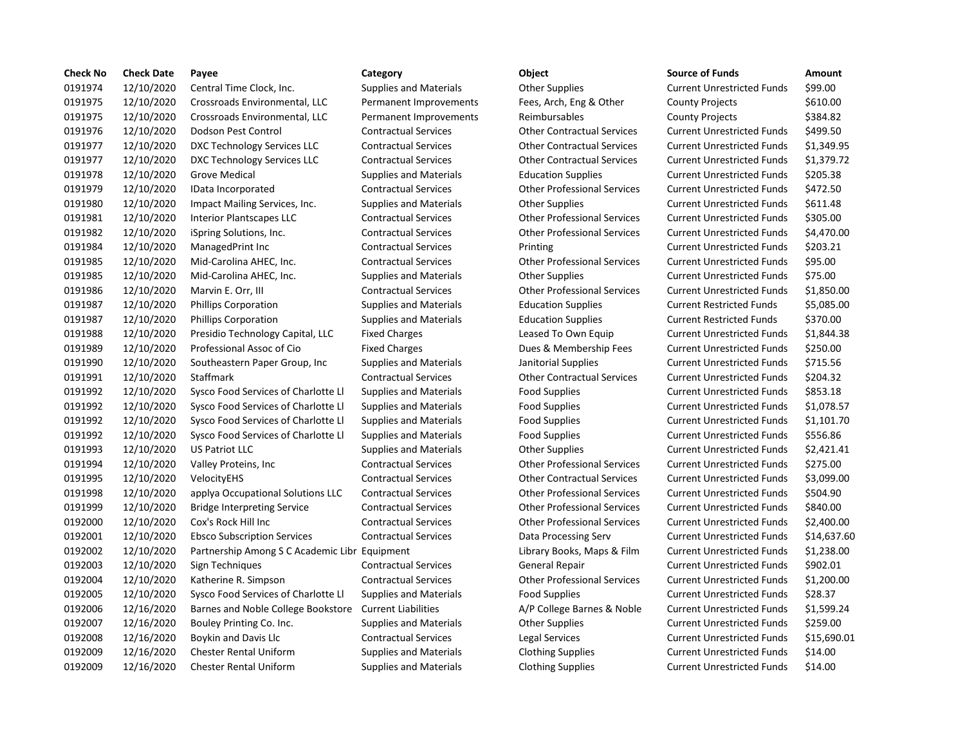| <b>Check No</b> | <b>Check Date</b> | Payee                                         | Category                      | Object                             | <b>Source of Funds</b>            | Amount    |
|-----------------|-------------------|-----------------------------------------------|-------------------------------|------------------------------------|-----------------------------------|-----------|
| 0191974         | 12/10/2020        | Central Time Clock, Inc.                      | <b>Supplies and Materials</b> | <b>Other Supplies</b>              | <b>Current Unrestricted Funds</b> | \$99.00   |
| 0191975         | 12/10/2020        | Crossroads Environmental, LLC                 | Permanent Improvements        | Fees, Arch, Eng & Other            | <b>County Projects</b>            | \$610.00  |
| 0191975         | 12/10/2020        | Crossroads Environmental, LLC                 | Permanent Improvements        | Reimbursables                      | <b>County Projects</b>            | \$384.82  |
| 0191976         | 12/10/2020        | Dodson Pest Control                           | <b>Contractual Services</b>   | <b>Other Contractual Services</b>  | <b>Current Unrestricted Funds</b> | \$499.50  |
| 0191977         | 12/10/2020        | DXC Technology Services LLC                   | <b>Contractual Services</b>   | <b>Other Contractual Services</b>  | <b>Current Unrestricted Funds</b> | \$1,349.9 |
| 0191977         | 12/10/2020        | DXC Technology Services LLC                   | <b>Contractual Services</b>   | <b>Other Contractual Services</b>  | <b>Current Unrestricted Funds</b> | \$1,379.7 |
| 0191978         | 12/10/2020        | Grove Medical                                 | <b>Supplies and Materials</b> | <b>Education Supplies</b>          | <b>Current Unrestricted Funds</b> | \$205.38  |
| 0191979         | 12/10/2020        | IData Incorporated                            | <b>Contractual Services</b>   | <b>Other Professional Services</b> | <b>Current Unrestricted Funds</b> | \$472.50  |
| 0191980         | 12/10/2020        | Impact Mailing Services, Inc.                 | <b>Supplies and Materials</b> | <b>Other Supplies</b>              | <b>Current Unrestricted Funds</b> | \$611.48  |
| 0191981         | 12/10/2020        | <b>Interior Plantscapes LLC</b>               | <b>Contractual Services</b>   | <b>Other Professional Services</b> | <b>Current Unrestricted Funds</b> | \$305.00  |
| 0191982         | 12/10/2020        | iSpring Solutions, Inc.                       | <b>Contractual Services</b>   | <b>Other Professional Services</b> | <b>Current Unrestricted Funds</b> | \$4,470.0 |
| 0191984         | 12/10/2020        | ManagedPrint Inc                              | <b>Contractual Services</b>   | Printing                           | <b>Current Unrestricted Funds</b> | \$203.21  |
| 0191985         | 12/10/2020        | Mid-Carolina AHEC, Inc.                       | <b>Contractual Services</b>   | <b>Other Professional Services</b> | <b>Current Unrestricted Funds</b> | \$95.00   |
| 0191985         | 12/10/2020        | Mid-Carolina AHEC, Inc.                       | <b>Supplies and Materials</b> | <b>Other Supplies</b>              | <b>Current Unrestricted Funds</b> | \$75.00   |
| 0191986         | 12/10/2020        | Marvin E. Orr, III                            | <b>Contractual Services</b>   | <b>Other Professional Services</b> | <b>Current Unrestricted Funds</b> | \$1,850.0 |
| 0191987         | 12/10/2020        | <b>Phillips Corporation</b>                   | <b>Supplies and Materials</b> | <b>Education Supplies</b>          | <b>Current Restricted Funds</b>   | \$5,085.0 |
| 0191987         | 12/10/2020        | <b>Phillips Corporation</b>                   | <b>Supplies and Materials</b> | <b>Education Supplies</b>          | <b>Current Restricted Funds</b>   | \$370.00  |
| 0191988         | 12/10/2020        | Presidio Technology Capital, LLC              | <b>Fixed Charges</b>          | Leased To Own Equip                | <b>Current Unrestricted Funds</b> | \$1,844.3 |
| 0191989         | 12/10/2020        | Professional Assoc of Cio                     | <b>Fixed Charges</b>          | Dues & Membership Fees             | <b>Current Unrestricted Funds</b> | \$250.00  |
| 0191990         | 12/10/2020        | Southeastern Paper Group, Inc                 | <b>Supplies and Materials</b> | Janitorial Supplies                | <b>Current Unrestricted Funds</b> | \$715.56  |
| 0191991         | 12/10/2020        | <b>Staffmark</b>                              | <b>Contractual Services</b>   | <b>Other Contractual Services</b>  | <b>Current Unrestricted Funds</b> | \$204.32  |
| 0191992         | 12/10/2020        | Sysco Food Services of Charlotte Ll           | <b>Supplies and Materials</b> | <b>Food Supplies</b>               | <b>Current Unrestricted Funds</b> | \$853.18  |
| 0191992         | 12/10/2020        | Sysco Food Services of Charlotte Ll           | Supplies and Materials        | <b>Food Supplies</b>               | <b>Current Unrestricted Funds</b> | \$1,078.5 |
| 0191992         | 12/10/2020        | Sysco Food Services of Charlotte Ll           | <b>Supplies and Materials</b> | <b>Food Supplies</b>               | <b>Current Unrestricted Funds</b> | \$1,101.7 |
| 0191992         | 12/10/2020        | Sysco Food Services of Charlotte Ll           | <b>Supplies and Materials</b> | <b>Food Supplies</b>               | <b>Current Unrestricted Funds</b> | \$556.86  |
| 0191993         | 12/10/2020        | <b>US Patriot LLC</b>                         | Supplies and Materials        | <b>Other Supplies</b>              | <b>Current Unrestricted Funds</b> | \$2,421.4 |
| 0191994         | 12/10/2020        | Valley Proteins, Inc.                         | <b>Contractual Services</b>   | <b>Other Professional Services</b> | <b>Current Unrestricted Funds</b> | \$275.00  |
| 0191995         | 12/10/2020        | VelocityEHS                                   | <b>Contractual Services</b>   | <b>Other Contractual Services</b>  | <b>Current Unrestricted Funds</b> | \$3,099.0 |
| 0191998         | 12/10/2020        | applya Occupational Solutions LLC             | <b>Contractual Services</b>   | <b>Other Professional Services</b> | <b>Current Unrestricted Funds</b> | \$504.90  |
| 0191999         | 12/10/2020        | <b>Bridge Interpreting Service</b>            | <b>Contractual Services</b>   | <b>Other Professional Services</b> | <b>Current Unrestricted Funds</b> | \$840.00  |
| 0192000         | 12/10/2020        | Cox's Rock Hill Inc                           | <b>Contractual Services</b>   | <b>Other Professional Services</b> | <b>Current Unrestricted Funds</b> | \$2,400.0 |
| 0192001         | 12/10/2020        | <b>Ebsco Subscription Services</b>            | <b>Contractual Services</b>   | Data Processing Serv               | <b>Current Unrestricted Funds</b> | \$14,637  |
| 0192002         | 12/10/2020        | Partnership Among S C Academic Libr Equipment |                               | Library Books, Maps & Film         | <b>Current Unrestricted Funds</b> | \$1,238.0 |
| 0192003         | 12/10/2020        | Sign Techniques                               | <b>Contractual Services</b>   | General Repair                     | <b>Current Unrestricted Funds</b> | \$902.01  |
| 0192004         | 12/10/2020        | Katherine R. Simpson                          | <b>Contractual Services</b>   | <b>Other Professional Services</b> | <b>Current Unrestricted Funds</b> | \$1,200.0 |
| 0192005         | 12/10/2020        | Sysco Food Services of Charlotte Ll           | <b>Supplies and Materials</b> | <b>Food Supplies</b>               | <b>Current Unrestricted Funds</b> | \$28.37   |
| 0192006         | 12/16/2020        | Barnes and Noble College Bookstore            | <b>Current Liabilities</b>    | A/P College Barnes & Noble         | <b>Current Unrestricted Funds</b> | \$1,599.2 |
| 0192007         | 12/16/2020        | Bouley Printing Co. Inc.                      | <b>Supplies and Materials</b> | Other Supplies                     | <b>Current Unrestricted Funds</b> | \$259.00  |
| 0192008         | 12/16/2020        | Boykin and Davis Llc                          | <b>Contractual Services</b>   | <b>Legal Services</b>              | <b>Current Unrestricted Funds</b> | \$15,690  |
| 0192009         | 12/16/2020        | <b>Chester Rental Uniform</b>                 | <b>Supplies and Materials</b> | <b>Clothing Supplies</b>           | <b>Current Unrestricted Funds</b> | \$14.00   |
| 0192009         | 12/16/2020        | <b>Chester Rental Uniform</b>                 | <b>Supplies and Materials</b> | <b>Clothing Supplies</b>           | <b>Current Unrestricted Funds</b> | \$14.00   |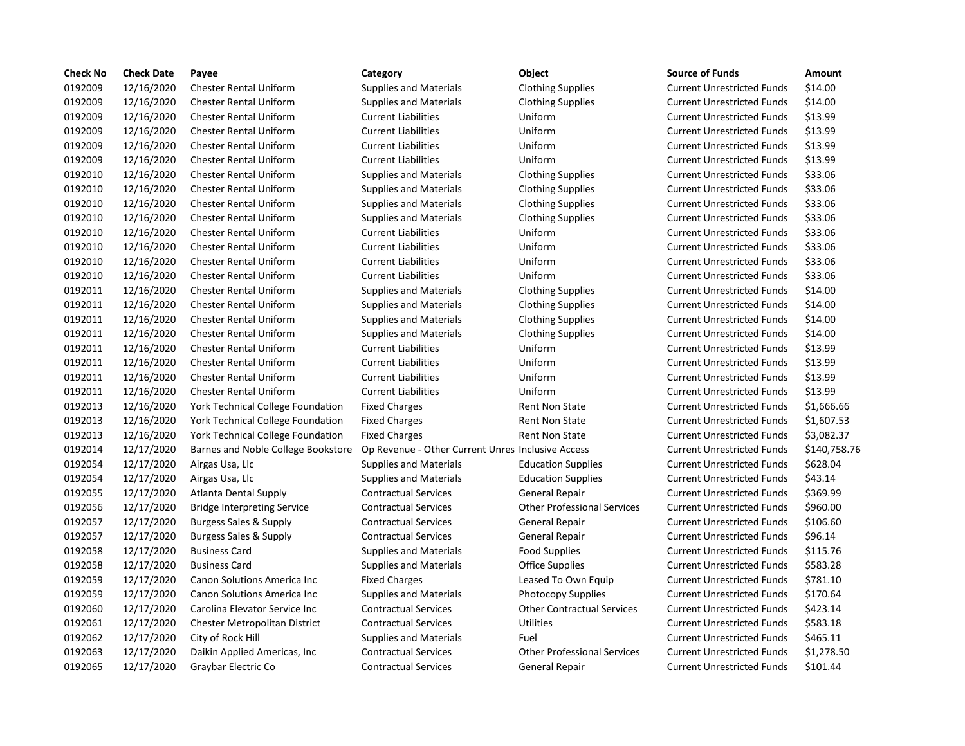| <b>Check No</b> | <b>Check Date</b> | Payee                                    | Category                                          | Object                             | <b>Source of Funds</b>            | Amount       |
|-----------------|-------------------|------------------------------------------|---------------------------------------------------|------------------------------------|-----------------------------------|--------------|
| 0192009         | 12/16/2020        | <b>Chester Rental Uniform</b>            | <b>Supplies and Materials</b>                     | <b>Clothing Supplies</b>           | <b>Current Unrestricted Funds</b> | \$14.00      |
| 0192009         | 12/16/2020        | <b>Chester Rental Uniform</b>            | <b>Supplies and Materials</b>                     | <b>Clothing Supplies</b>           | <b>Current Unrestricted Funds</b> | \$14.00      |
| 0192009         | 12/16/2020        | <b>Chester Rental Uniform</b>            | <b>Current Liabilities</b>                        | Uniform                            | <b>Current Unrestricted Funds</b> | \$13.99      |
| 0192009         | 12/16/2020        | <b>Chester Rental Uniform</b>            | <b>Current Liabilities</b>                        | Uniform                            | <b>Current Unrestricted Funds</b> | \$13.99      |
| 0192009         | 12/16/2020        | <b>Chester Rental Uniform</b>            | <b>Current Liabilities</b>                        | Uniform                            | <b>Current Unrestricted Funds</b> | \$13.99      |
| 0192009         | 12/16/2020        | <b>Chester Rental Uniform</b>            | <b>Current Liabilities</b>                        | Uniform                            | <b>Current Unrestricted Funds</b> | \$13.99      |
| 0192010         | 12/16/2020        | <b>Chester Rental Uniform</b>            | <b>Supplies and Materials</b>                     | <b>Clothing Supplies</b>           | <b>Current Unrestricted Funds</b> | \$33.06      |
| 0192010         | 12/16/2020        | <b>Chester Rental Uniform</b>            | <b>Supplies and Materials</b>                     | <b>Clothing Supplies</b>           | <b>Current Unrestricted Funds</b> | \$33.06      |
| 0192010         | 12/16/2020        | <b>Chester Rental Uniform</b>            | <b>Supplies and Materials</b>                     | <b>Clothing Supplies</b>           | <b>Current Unrestricted Funds</b> | \$33.06      |
| 0192010         | 12/16/2020        | <b>Chester Rental Uniform</b>            | <b>Supplies and Materials</b>                     | <b>Clothing Supplies</b>           | <b>Current Unrestricted Funds</b> | \$33.06      |
| 0192010         | 12/16/2020        | <b>Chester Rental Uniform</b>            | <b>Current Liabilities</b>                        | Uniform                            | <b>Current Unrestricted Funds</b> | \$33.06      |
| 0192010         | 12/16/2020        | <b>Chester Rental Uniform</b>            | <b>Current Liabilities</b>                        | Uniform                            | <b>Current Unrestricted Funds</b> | \$33.06      |
| 0192010         | 12/16/2020        | <b>Chester Rental Uniform</b>            | <b>Current Liabilities</b>                        | Uniform                            | <b>Current Unrestricted Funds</b> | \$33.06      |
| 0192010         | 12/16/2020        | <b>Chester Rental Uniform</b>            | <b>Current Liabilities</b>                        | Uniform                            | <b>Current Unrestricted Funds</b> | \$33.06      |
| 0192011         | 12/16/2020        | <b>Chester Rental Uniform</b>            | <b>Supplies and Materials</b>                     | <b>Clothing Supplies</b>           | <b>Current Unrestricted Funds</b> | \$14.00      |
| 0192011         | 12/16/2020        | <b>Chester Rental Uniform</b>            | <b>Supplies and Materials</b>                     | <b>Clothing Supplies</b>           | <b>Current Unrestricted Funds</b> | \$14.00      |
| 0192011         | 12/16/2020        | <b>Chester Rental Uniform</b>            | <b>Supplies and Materials</b>                     | <b>Clothing Supplies</b>           | <b>Current Unrestricted Funds</b> | \$14.00      |
| 0192011         | 12/16/2020        | <b>Chester Rental Uniform</b>            | <b>Supplies and Materials</b>                     | <b>Clothing Supplies</b>           | <b>Current Unrestricted Funds</b> | \$14.00      |
| 0192011         | 12/16/2020        | <b>Chester Rental Uniform</b>            | <b>Current Liabilities</b>                        | Uniform                            | <b>Current Unrestricted Funds</b> | \$13.99      |
| 0192011         | 12/16/2020        | <b>Chester Rental Uniform</b>            | <b>Current Liabilities</b>                        | Uniform                            | <b>Current Unrestricted Funds</b> | \$13.99      |
| 0192011         | 12/16/2020        | <b>Chester Rental Uniform</b>            | <b>Current Liabilities</b>                        | Uniform                            | <b>Current Unrestricted Funds</b> | \$13.99      |
| 0192011         | 12/16/2020        | <b>Chester Rental Uniform</b>            | <b>Current Liabilities</b>                        | Uniform                            | <b>Current Unrestricted Funds</b> | \$13.99      |
| 0192013         | 12/16/2020        | York Technical College Foundation        | <b>Fixed Charges</b>                              | <b>Rent Non State</b>              | <b>Current Unrestricted Funds</b> | \$1,666.66   |
| 0192013         | 12/16/2020        | York Technical College Foundation        | <b>Fixed Charges</b>                              | <b>Rent Non State</b>              | <b>Current Unrestricted Funds</b> | \$1,607.53   |
| 0192013         | 12/16/2020        | <b>York Technical College Foundation</b> | <b>Fixed Charges</b>                              | <b>Rent Non State</b>              | <b>Current Unrestricted Funds</b> | \$3,082.37   |
| 0192014         | 12/17/2020        | Barnes and Noble College Bookstore       | Op Revenue - Other Current Unres Inclusive Access |                                    | <b>Current Unrestricted Funds</b> | \$140,758.76 |
| 0192054         | 12/17/2020        | Airgas Usa, Llc                          | <b>Supplies and Materials</b>                     | <b>Education Supplies</b>          | <b>Current Unrestricted Funds</b> | \$628.04     |
| 0192054         | 12/17/2020        | Airgas Usa, Llc                          | <b>Supplies and Materials</b>                     | <b>Education Supplies</b>          | <b>Current Unrestricted Funds</b> | \$43.14      |
| 0192055         | 12/17/2020        | Atlanta Dental Supply                    | <b>Contractual Services</b>                       | <b>General Repair</b>              | <b>Current Unrestricted Funds</b> | \$369.99     |
| 0192056         | 12/17/2020        | <b>Bridge Interpreting Service</b>       | <b>Contractual Services</b>                       | <b>Other Professional Services</b> | <b>Current Unrestricted Funds</b> | \$960.00     |
| 0192057         | 12/17/2020        | Burgess Sales & Supply                   | <b>Contractual Services</b>                       | <b>General Repair</b>              | <b>Current Unrestricted Funds</b> | \$106.60     |
| 0192057         | 12/17/2020        | Burgess Sales & Supply                   | <b>Contractual Services</b>                       | <b>General Repair</b>              | <b>Current Unrestricted Funds</b> | \$96.14      |
| 0192058         | 12/17/2020        | <b>Business Card</b>                     | <b>Supplies and Materials</b>                     | Food Supplies                      | <b>Current Unrestricted Funds</b> | \$115.76     |
| 0192058         | 12/17/2020        | <b>Business Card</b>                     | <b>Supplies and Materials</b>                     | <b>Office Supplies</b>             | <b>Current Unrestricted Funds</b> | \$583.28     |
| 0192059         | 12/17/2020        | Canon Solutions America Inc              | <b>Fixed Charges</b>                              | Leased To Own Equip                | <b>Current Unrestricted Funds</b> | \$781.10     |
| 0192059         | 12/17/2020        | <b>Canon Solutions America Inc</b>       | <b>Supplies and Materials</b>                     | <b>Photocopy Supplies</b>          | <b>Current Unrestricted Funds</b> | \$170.64     |
| 0192060         | 12/17/2020        | Carolina Elevator Service Inc            | <b>Contractual Services</b>                       | <b>Other Contractual Services</b>  | <b>Current Unrestricted Funds</b> | \$423.14     |
| 0192061         | 12/17/2020        | Chester Metropolitan District            | <b>Contractual Services</b>                       | Utilities                          | <b>Current Unrestricted Funds</b> | \$583.18     |
| 0192062         | 12/17/2020        | City of Rock Hill                        | <b>Supplies and Materials</b>                     | Fuel                               | <b>Current Unrestricted Funds</b> | \$465.11     |
| 0192063         | 12/17/2020        | Daikin Applied Americas, Inc.            | <b>Contractual Services</b>                       | <b>Other Professional Services</b> | <b>Current Unrestricted Funds</b> | \$1,278.50   |
| 0192065         | 12/17/2020        | Graybar Electric Co                      | <b>Contractual Services</b>                       | <b>General Repair</b>              | <b>Current Unrestricted Funds</b> | \$101.44     |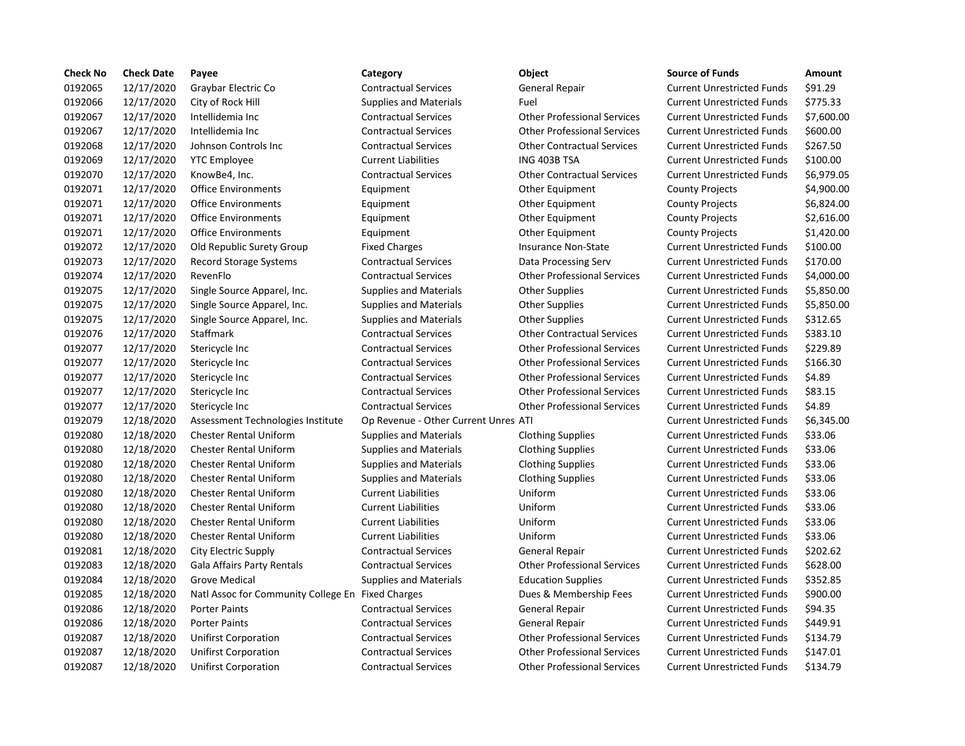| 0192065<br>\$91.29<br>12/17/2020<br>Graybar Electric Co<br><b>Contractual Services</b><br><b>General Repair</b><br><b>Current Unrestricted Funds</b><br>0192066<br>\$775.33<br>12/17/2020<br>City of Rock Hill<br>Fuel<br>Supplies and Materials<br><b>Current Unrestricted Funds</b><br>0192067<br>12/17/2020<br>\$7,600.00<br>Intellidemia Inc<br><b>Contractual Services</b><br><b>Other Professional Services</b><br><b>Current Unrestricted Funds</b><br>0192067<br>12/17/2020<br><b>Other Professional Services</b><br>Intellidemia Inc<br><b>Contractual Services</b><br><b>Current Unrestricted Funds</b><br>\$600.00<br>0192068<br>12/17/2020<br>Johnson Controls Inc<br><b>Contractual Services</b><br><b>Other Contractual Services</b><br><b>Current Unrestricted Funds</b><br>\$267.50<br>0192069<br>12/17/2020<br><b>YTC Employee</b><br><b>Current Liabilities</b><br>ING 403B TSA<br><b>Current Unrestricted Funds</b><br>\$100.00<br>0192070<br>12/17/2020<br><b>Contractual Services</b><br>\$6,979.05<br>KnowBe4, Inc.<br><b>Other Contractual Services</b><br><b>Current Unrestricted Funds</b><br>0192071<br>12/17/2020<br><b>Office Environments</b><br><b>County Projects</b><br>\$4,900.00<br>Equipment<br><b>Other Equipment</b><br>0192071<br>12/17/2020<br>\$6,824.00<br><b>Office Environments</b><br>Equipment<br>Other Equipment<br><b>County Projects</b><br>0192071<br>12/17/2020<br>\$2,616.00<br><b>Office Environments</b><br>Equipment<br>Other Equipment<br><b>County Projects</b><br>0192071<br>\$1,420.00<br>12/17/2020<br><b>Office Environments</b><br>Equipment<br><b>Other Equipment</b><br><b>County Projects</b><br>0192072<br>12/17/2020<br>\$100.00<br>Old Republic Surety Group<br><b>Insurance Non-State</b><br><b>Fixed Charges</b><br><b>Current Unrestricted Funds</b><br>0192073<br>12/17/2020<br><b>Record Storage Systems</b><br><b>Contractual Services</b><br><b>Current Unrestricted Funds</b><br>\$170.00<br>Data Processing Serv<br>0192074<br>12/17/2020<br>\$4,000.00<br>RevenFlo<br><b>Contractual Services</b><br><b>Other Professional Services</b><br><b>Current Unrestricted Funds</b><br>0192075<br>12/17/2020<br>Single Source Apparel, Inc.<br><b>Other Supplies</b><br><b>Current Unrestricted Funds</b><br>\$5,850.00<br><b>Supplies and Materials</b><br>\$5,850.00<br>0192075<br>12/17/2020<br>Single Source Apparel, Inc.<br><b>Current Unrestricted Funds</b><br>Supplies and Materials<br><b>Other Supplies</b><br>0192075<br>12/17/2020<br>\$312.65<br>Single Source Apparel, Inc.<br><b>Supplies and Materials</b><br><b>Other Supplies</b><br><b>Current Unrestricted Funds</b><br>\$383.10<br>0192076<br>12/17/2020<br>Staffmark<br><b>Contractual Services</b><br><b>Other Contractual Services</b><br><b>Current Unrestricted Funds</b><br>\$229.89<br>0192077<br>12/17/2020<br><b>Contractual Services</b><br><b>Other Professional Services</b><br><b>Current Unrestricted Funds</b><br>Stericycle Inc<br>0192077<br>12/17/2020<br>\$166.30<br><b>Contractual Services</b><br><b>Other Professional Services</b><br><b>Current Unrestricted Funds</b><br>Stericycle Inc<br>0192077<br>12/17/2020<br><b>Other Professional Services</b><br>\$4.89<br>Stericycle Inc<br><b>Contractual Services</b><br><b>Current Unrestricted Funds</b><br>\$83.15<br>0192077<br>12/17/2020<br><b>Other Professional Services</b><br>Stericycle Inc<br><b>Contractual Services</b><br><b>Current Unrestricted Funds</b><br>\$4.89<br>0192077<br>12/17/2020<br><b>Contractual Services</b><br><b>Other Professional Services</b><br>Stericycle Inc<br><b>Current Unrestricted Funds</b><br>0192079<br>12/18/2020<br>\$6,345.00<br>Assessment Technologies Institute<br>Op Revenue - Other Current Unres ATI<br><b>Current Unrestricted Funds</b><br>0192080<br>12/18/2020<br><b>Chester Rental Uniform</b><br><b>Supplies and Materials</b><br><b>Current Unrestricted Funds</b><br>\$33.06<br><b>Clothing Supplies</b><br>0192080<br>12/18/2020<br><b>Chester Rental Uniform</b><br><b>Current Unrestricted Funds</b><br>\$33.06<br><b>Supplies and Materials</b><br><b>Clothing Supplies</b><br>0192080<br>12/18/2020<br>\$33.06<br><b>Chester Rental Uniform</b><br><b>Supplies and Materials</b><br><b>Clothing Supplies</b><br><b>Current Unrestricted Funds</b><br>\$33.06<br>0192080<br>12/18/2020<br><b>Chester Rental Uniform</b><br><b>Supplies and Materials</b><br><b>Clothing Supplies</b><br><b>Current Unrestricted Funds</b><br>0192080<br>\$33.06<br>12/18/2020<br><b>Chester Rental Uniform</b><br><b>Current Liabilities</b><br>Uniform<br><b>Current Unrestricted Funds</b><br>0192080<br>12/18/2020<br>Uniform<br>\$33.06<br><b>Chester Rental Uniform</b><br><b>Current Liabilities</b><br><b>Current Unrestricted Funds</b><br>0192080<br>12/18/2020<br><b>Chester Rental Uniform</b><br>Uniform<br>\$33.06<br><b>Current Liabilities</b><br><b>Current Unrestricted Funds</b><br>Uniform<br>0192080<br>12/18/2020<br><b>Chester Rental Uniform</b><br>\$33.06<br><b>Current Liabilities</b><br><b>Current Unrestricted Funds</b><br>\$202.62<br>0192081<br>12/18/2020<br>City Electric Supply<br><b>Contractual Services</b><br>General Repair<br><b>Current Unrestricted Funds</b><br>0192083<br>12/18/2020<br>\$628.00<br>Gala Affairs Party Rentals<br><b>Contractual Services</b><br><b>Other Professional Services</b><br><b>Current Unrestricted Funds</b><br>0192084<br>12/18/2020<br><b>Grove Medical</b><br><b>Supplies and Materials</b><br><b>Education Supplies</b><br><b>Current Unrestricted Funds</b><br>\$352.85<br>0192085<br>12/18/2020<br>Natl Assoc for Community College En Fixed Charges<br>Dues & Membership Fees<br><b>Current Unrestricted Funds</b><br>\$900.00<br>0192086<br>12/18/2020<br>\$94.35<br><b>Porter Paints</b><br><b>Contractual Services</b><br>General Repair<br><b>Current Unrestricted Funds</b><br>0192086<br>12/18/2020<br><b>Contractual Services</b><br>\$449.91<br><b>Porter Paints</b><br>General Repair<br><b>Current Unrestricted Funds</b><br>0192087<br>12/18/2020<br><b>Contractual Services</b><br><b>Other Professional Services</b><br><b>Current Unrestricted Funds</b><br>\$134.79<br><b>Unifirst Corporation</b> | <b>Check No</b> | <b>Check Date</b> | Payee                       | Category                    | Object                             | <b>Source of Funds</b>            | <b>Amount</b> |
|-------------------------------------------------------------------------------------------------------------------------------------------------------------------------------------------------------------------------------------------------------------------------------------------------------------------------------------------------------------------------------------------------------------------------------------------------------------------------------------------------------------------------------------------------------------------------------------------------------------------------------------------------------------------------------------------------------------------------------------------------------------------------------------------------------------------------------------------------------------------------------------------------------------------------------------------------------------------------------------------------------------------------------------------------------------------------------------------------------------------------------------------------------------------------------------------------------------------------------------------------------------------------------------------------------------------------------------------------------------------------------------------------------------------------------------------------------------------------------------------------------------------------------------------------------------------------------------------------------------------------------------------------------------------------------------------------------------------------------------------------------------------------------------------------------------------------------------------------------------------------------------------------------------------------------------------------------------------------------------------------------------------------------------------------------------------------------------------------------------------------------------------------------------------------------------------------------------------------------------------------------------------------------------------------------------------------------------------------------------------------------------------------------------------------------------------------------------------------------------------------------------------------------------------------------------------------------------------------------------------------------------------------------------------------------------------------------------------------------------------------------------------------------------------------------------------------------------------------------------------------------------------------------------------------------------------------------------------------------------------------------------------------------------------------------------------------------------------------------------------------------------------------------------------------------------------------------------------------------------------------------------------------------------------------------------------------------------------------------------------------------------------------------------------------------------------------------------------------------------------------------------------------------------------------------------------------------------------------------------------------------------------------------------------------------------------------------------------------------------------------------------------------------------------------------------------------------------------------------------------------------------------------------------------------------------------------------------------------------------------------------------------------------------------------------------------------------------------------------------------------------------------------------------------------------------------------------------------------------------------------------------------------------------------------------------------------------------------------------------------------------------------------------------------------------------------------------------------------------------------------------------------------------------------------------------------------------------------------------------------------------------------------------------------------------------------------------------------------------------------------------------------------------------------------------------------------------------------------------------------------------------------------------------------------------------------------------------------------------------------------------------------------------------------------------------------------------------------------------------------------------------------------------------------------------------------------------------------------------------------------------------------------------------------------------------------------------------------------------------------------------------------------------------------------------------------------------------------------------------------------------------------------------------------------------------------------------------------------------------------------------------------------------------------------------------------------------------------------------------------------------------------------------------------------------------------------------------------------------------------------------------------------------------------------------------------------------------------------------------------------------------------------------------------------------------------------------------------------------------------------------------------------------------------------------------------------------------------------------------------------------------------------|-----------------|-------------------|-----------------------------|-----------------------------|------------------------------------|-----------------------------------|---------------|
|                                                                                                                                                                                                                                                                                                                                                                                                                                                                                                                                                                                                                                                                                                                                                                                                                                                                                                                                                                                                                                                                                                                                                                                                                                                                                                                                                                                                                                                                                                                                                                                                                                                                                                                                                                                                                                                                                                                                                                                                                                                                                                                                                                                                                                                                                                                                                                                                                                                                                                                                                                                                                                                                                                                                                                                                                                                                                                                                                                                                                                                                                                                                                                                                                                                                                                                                                                                                                                                                                                                                                                                                                                                                                                                                                                                                                                                                                                                                                                                                                                                                                                                                                                                                                                                                                                                                                                                                                                                                                                                                                                                                                                                                                                                                                                                                                                                                                                                                                                                                                                                                                                                                                                                                                                                                                                                                                                                                                                                                                                                                                                                                                                                                                                                                                                                                                                                                                                                                                                                                                                                                                                                                                                                                                                                                         |                 |                   |                             |                             |                                    |                                   |               |
|                                                                                                                                                                                                                                                                                                                                                                                                                                                                                                                                                                                                                                                                                                                                                                                                                                                                                                                                                                                                                                                                                                                                                                                                                                                                                                                                                                                                                                                                                                                                                                                                                                                                                                                                                                                                                                                                                                                                                                                                                                                                                                                                                                                                                                                                                                                                                                                                                                                                                                                                                                                                                                                                                                                                                                                                                                                                                                                                                                                                                                                                                                                                                                                                                                                                                                                                                                                                                                                                                                                                                                                                                                                                                                                                                                                                                                                                                                                                                                                                                                                                                                                                                                                                                                                                                                                                                                                                                                                                                                                                                                                                                                                                                                                                                                                                                                                                                                                                                                                                                                                                                                                                                                                                                                                                                                                                                                                                                                                                                                                                                                                                                                                                                                                                                                                                                                                                                                                                                                                                                                                                                                                                                                                                                                                                         |                 |                   |                             |                             |                                    |                                   |               |
|                                                                                                                                                                                                                                                                                                                                                                                                                                                                                                                                                                                                                                                                                                                                                                                                                                                                                                                                                                                                                                                                                                                                                                                                                                                                                                                                                                                                                                                                                                                                                                                                                                                                                                                                                                                                                                                                                                                                                                                                                                                                                                                                                                                                                                                                                                                                                                                                                                                                                                                                                                                                                                                                                                                                                                                                                                                                                                                                                                                                                                                                                                                                                                                                                                                                                                                                                                                                                                                                                                                                                                                                                                                                                                                                                                                                                                                                                                                                                                                                                                                                                                                                                                                                                                                                                                                                                                                                                                                                                                                                                                                                                                                                                                                                                                                                                                                                                                                                                                                                                                                                                                                                                                                                                                                                                                                                                                                                                                                                                                                                                                                                                                                                                                                                                                                                                                                                                                                                                                                                                                                                                                                                                                                                                                                                         |                 |                   |                             |                             |                                    |                                   |               |
|                                                                                                                                                                                                                                                                                                                                                                                                                                                                                                                                                                                                                                                                                                                                                                                                                                                                                                                                                                                                                                                                                                                                                                                                                                                                                                                                                                                                                                                                                                                                                                                                                                                                                                                                                                                                                                                                                                                                                                                                                                                                                                                                                                                                                                                                                                                                                                                                                                                                                                                                                                                                                                                                                                                                                                                                                                                                                                                                                                                                                                                                                                                                                                                                                                                                                                                                                                                                                                                                                                                                                                                                                                                                                                                                                                                                                                                                                                                                                                                                                                                                                                                                                                                                                                                                                                                                                                                                                                                                                                                                                                                                                                                                                                                                                                                                                                                                                                                                                                                                                                                                                                                                                                                                                                                                                                                                                                                                                                                                                                                                                                                                                                                                                                                                                                                                                                                                                                                                                                                                                                                                                                                                                                                                                                                                         |                 |                   |                             |                             |                                    |                                   |               |
|                                                                                                                                                                                                                                                                                                                                                                                                                                                                                                                                                                                                                                                                                                                                                                                                                                                                                                                                                                                                                                                                                                                                                                                                                                                                                                                                                                                                                                                                                                                                                                                                                                                                                                                                                                                                                                                                                                                                                                                                                                                                                                                                                                                                                                                                                                                                                                                                                                                                                                                                                                                                                                                                                                                                                                                                                                                                                                                                                                                                                                                                                                                                                                                                                                                                                                                                                                                                                                                                                                                                                                                                                                                                                                                                                                                                                                                                                                                                                                                                                                                                                                                                                                                                                                                                                                                                                                                                                                                                                                                                                                                                                                                                                                                                                                                                                                                                                                                                                                                                                                                                                                                                                                                                                                                                                                                                                                                                                                                                                                                                                                                                                                                                                                                                                                                                                                                                                                                                                                                                                                                                                                                                                                                                                                                                         |                 |                   |                             |                             |                                    |                                   |               |
|                                                                                                                                                                                                                                                                                                                                                                                                                                                                                                                                                                                                                                                                                                                                                                                                                                                                                                                                                                                                                                                                                                                                                                                                                                                                                                                                                                                                                                                                                                                                                                                                                                                                                                                                                                                                                                                                                                                                                                                                                                                                                                                                                                                                                                                                                                                                                                                                                                                                                                                                                                                                                                                                                                                                                                                                                                                                                                                                                                                                                                                                                                                                                                                                                                                                                                                                                                                                                                                                                                                                                                                                                                                                                                                                                                                                                                                                                                                                                                                                                                                                                                                                                                                                                                                                                                                                                                                                                                                                                                                                                                                                                                                                                                                                                                                                                                                                                                                                                                                                                                                                                                                                                                                                                                                                                                                                                                                                                                                                                                                                                                                                                                                                                                                                                                                                                                                                                                                                                                                                                                                                                                                                                                                                                                                                         |                 |                   |                             |                             |                                    |                                   |               |
|                                                                                                                                                                                                                                                                                                                                                                                                                                                                                                                                                                                                                                                                                                                                                                                                                                                                                                                                                                                                                                                                                                                                                                                                                                                                                                                                                                                                                                                                                                                                                                                                                                                                                                                                                                                                                                                                                                                                                                                                                                                                                                                                                                                                                                                                                                                                                                                                                                                                                                                                                                                                                                                                                                                                                                                                                                                                                                                                                                                                                                                                                                                                                                                                                                                                                                                                                                                                                                                                                                                                                                                                                                                                                                                                                                                                                                                                                                                                                                                                                                                                                                                                                                                                                                                                                                                                                                                                                                                                                                                                                                                                                                                                                                                                                                                                                                                                                                                                                                                                                                                                                                                                                                                                                                                                                                                                                                                                                                                                                                                                                                                                                                                                                                                                                                                                                                                                                                                                                                                                                                                                                                                                                                                                                                                                         |                 |                   |                             |                             |                                    |                                   |               |
|                                                                                                                                                                                                                                                                                                                                                                                                                                                                                                                                                                                                                                                                                                                                                                                                                                                                                                                                                                                                                                                                                                                                                                                                                                                                                                                                                                                                                                                                                                                                                                                                                                                                                                                                                                                                                                                                                                                                                                                                                                                                                                                                                                                                                                                                                                                                                                                                                                                                                                                                                                                                                                                                                                                                                                                                                                                                                                                                                                                                                                                                                                                                                                                                                                                                                                                                                                                                                                                                                                                                                                                                                                                                                                                                                                                                                                                                                                                                                                                                                                                                                                                                                                                                                                                                                                                                                                                                                                                                                                                                                                                                                                                                                                                                                                                                                                                                                                                                                                                                                                                                                                                                                                                                                                                                                                                                                                                                                                                                                                                                                                                                                                                                                                                                                                                                                                                                                                                                                                                                                                                                                                                                                                                                                                                                         |                 |                   |                             |                             |                                    |                                   |               |
|                                                                                                                                                                                                                                                                                                                                                                                                                                                                                                                                                                                                                                                                                                                                                                                                                                                                                                                                                                                                                                                                                                                                                                                                                                                                                                                                                                                                                                                                                                                                                                                                                                                                                                                                                                                                                                                                                                                                                                                                                                                                                                                                                                                                                                                                                                                                                                                                                                                                                                                                                                                                                                                                                                                                                                                                                                                                                                                                                                                                                                                                                                                                                                                                                                                                                                                                                                                                                                                                                                                                                                                                                                                                                                                                                                                                                                                                                                                                                                                                                                                                                                                                                                                                                                                                                                                                                                                                                                                                                                                                                                                                                                                                                                                                                                                                                                                                                                                                                                                                                                                                                                                                                                                                                                                                                                                                                                                                                                                                                                                                                                                                                                                                                                                                                                                                                                                                                                                                                                                                                                                                                                                                                                                                                                                                         |                 |                   |                             |                             |                                    |                                   |               |
|                                                                                                                                                                                                                                                                                                                                                                                                                                                                                                                                                                                                                                                                                                                                                                                                                                                                                                                                                                                                                                                                                                                                                                                                                                                                                                                                                                                                                                                                                                                                                                                                                                                                                                                                                                                                                                                                                                                                                                                                                                                                                                                                                                                                                                                                                                                                                                                                                                                                                                                                                                                                                                                                                                                                                                                                                                                                                                                                                                                                                                                                                                                                                                                                                                                                                                                                                                                                                                                                                                                                                                                                                                                                                                                                                                                                                                                                                                                                                                                                                                                                                                                                                                                                                                                                                                                                                                                                                                                                                                                                                                                                                                                                                                                                                                                                                                                                                                                                                                                                                                                                                                                                                                                                                                                                                                                                                                                                                                                                                                                                                                                                                                                                                                                                                                                                                                                                                                                                                                                                                                                                                                                                                                                                                                                                         |                 |                   |                             |                             |                                    |                                   |               |
|                                                                                                                                                                                                                                                                                                                                                                                                                                                                                                                                                                                                                                                                                                                                                                                                                                                                                                                                                                                                                                                                                                                                                                                                                                                                                                                                                                                                                                                                                                                                                                                                                                                                                                                                                                                                                                                                                                                                                                                                                                                                                                                                                                                                                                                                                                                                                                                                                                                                                                                                                                                                                                                                                                                                                                                                                                                                                                                                                                                                                                                                                                                                                                                                                                                                                                                                                                                                                                                                                                                                                                                                                                                                                                                                                                                                                                                                                                                                                                                                                                                                                                                                                                                                                                                                                                                                                                                                                                                                                                                                                                                                                                                                                                                                                                                                                                                                                                                                                                                                                                                                                                                                                                                                                                                                                                                                                                                                                                                                                                                                                                                                                                                                                                                                                                                                                                                                                                                                                                                                                                                                                                                                                                                                                                                                         |                 |                   |                             |                             |                                    |                                   |               |
|                                                                                                                                                                                                                                                                                                                                                                                                                                                                                                                                                                                                                                                                                                                                                                                                                                                                                                                                                                                                                                                                                                                                                                                                                                                                                                                                                                                                                                                                                                                                                                                                                                                                                                                                                                                                                                                                                                                                                                                                                                                                                                                                                                                                                                                                                                                                                                                                                                                                                                                                                                                                                                                                                                                                                                                                                                                                                                                                                                                                                                                                                                                                                                                                                                                                                                                                                                                                                                                                                                                                                                                                                                                                                                                                                                                                                                                                                                                                                                                                                                                                                                                                                                                                                                                                                                                                                                                                                                                                                                                                                                                                                                                                                                                                                                                                                                                                                                                                                                                                                                                                                                                                                                                                                                                                                                                                                                                                                                                                                                                                                                                                                                                                                                                                                                                                                                                                                                                                                                                                                                                                                                                                                                                                                                                                         |                 |                   |                             |                             |                                    |                                   |               |
|                                                                                                                                                                                                                                                                                                                                                                                                                                                                                                                                                                                                                                                                                                                                                                                                                                                                                                                                                                                                                                                                                                                                                                                                                                                                                                                                                                                                                                                                                                                                                                                                                                                                                                                                                                                                                                                                                                                                                                                                                                                                                                                                                                                                                                                                                                                                                                                                                                                                                                                                                                                                                                                                                                                                                                                                                                                                                                                                                                                                                                                                                                                                                                                                                                                                                                                                                                                                                                                                                                                                                                                                                                                                                                                                                                                                                                                                                                                                                                                                                                                                                                                                                                                                                                                                                                                                                                                                                                                                                                                                                                                                                                                                                                                                                                                                                                                                                                                                                                                                                                                                                                                                                                                                                                                                                                                                                                                                                                                                                                                                                                                                                                                                                                                                                                                                                                                                                                                                                                                                                                                                                                                                                                                                                                                                         |                 |                   |                             |                             |                                    |                                   |               |
|                                                                                                                                                                                                                                                                                                                                                                                                                                                                                                                                                                                                                                                                                                                                                                                                                                                                                                                                                                                                                                                                                                                                                                                                                                                                                                                                                                                                                                                                                                                                                                                                                                                                                                                                                                                                                                                                                                                                                                                                                                                                                                                                                                                                                                                                                                                                                                                                                                                                                                                                                                                                                                                                                                                                                                                                                                                                                                                                                                                                                                                                                                                                                                                                                                                                                                                                                                                                                                                                                                                                                                                                                                                                                                                                                                                                                                                                                                                                                                                                                                                                                                                                                                                                                                                                                                                                                                                                                                                                                                                                                                                                                                                                                                                                                                                                                                                                                                                                                                                                                                                                                                                                                                                                                                                                                                                                                                                                                                                                                                                                                                                                                                                                                                                                                                                                                                                                                                                                                                                                                                                                                                                                                                                                                                                                         |                 |                   |                             |                             |                                    |                                   |               |
|                                                                                                                                                                                                                                                                                                                                                                                                                                                                                                                                                                                                                                                                                                                                                                                                                                                                                                                                                                                                                                                                                                                                                                                                                                                                                                                                                                                                                                                                                                                                                                                                                                                                                                                                                                                                                                                                                                                                                                                                                                                                                                                                                                                                                                                                                                                                                                                                                                                                                                                                                                                                                                                                                                                                                                                                                                                                                                                                                                                                                                                                                                                                                                                                                                                                                                                                                                                                                                                                                                                                                                                                                                                                                                                                                                                                                                                                                                                                                                                                                                                                                                                                                                                                                                                                                                                                                                                                                                                                                                                                                                                                                                                                                                                                                                                                                                                                                                                                                                                                                                                                                                                                                                                                                                                                                                                                                                                                                                                                                                                                                                                                                                                                                                                                                                                                                                                                                                                                                                                                                                                                                                                                                                                                                                                                         |                 |                   |                             |                             |                                    |                                   |               |
|                                                                                                                                                                                                                                                                                                                                                                                                                                                                                                                                                                                                                                                                                                                                                                                                                                                                                                                                                                                                                                                                                                                                                                                                                                                                                                                                                                                                                                                                                                                                                                                                                                                                                                                                                                                                                                                                                                                                                                                                                                                                                                                                                                                                                                                                                                                                                                                                                                                                                                                                                                                                                                                                                                                                                                                                                                                                                                                                                                                                                                                                                                                                                                                                                                                                                                                                                                                                                                                                                                                                                                                                                                                                                                                                                                                                                                                                                                                                                                                                                                                                                                                                                                                                                                                                                                                                                                                                                                                                                                                                                                                                                                                                                                                                                                                                                                                                                                                                                                                                                                                                                                                                                                                                                                                                                                                                                                                                                                                                                                                                                                                                                                                                                                                                                                                                                                                                                                                                                                                                                                                                                                                                                                                                                                                                         |                 |                   |                             |                             |                                    |                                   |               |
|                                                                                                                                                                                                                                                                                                                                                                                                                                                                                                                                                                                                                                                                                                                                                                                                                                                                                                                                                                                                                                                                                                                                                                                                                                                                                                                                                                                                                                                                                                                                                                                                                                                                                                                                                                                                                                                                                                                                                                                                                                                                                                                                                                                                                                                                                                                                                                                                                                                                                                                                                                                                                                                                                                                                                                                                                                                                                                                                                                                                                                                                                                                                                                                                                                                                                                                                                                                                                                                                                                                                                                                                                                                                                                                                                                                                                                                                                                                                                                                                                                                                                                                                                                                                                                                                                                                                                                                                                                                                                                                                                                                                                                                                                                                                                                                                                                                                                                                                                                                                                                                                                                                                                                                                                                                                                                                                                                                                                                                                                                                                                                                                                                                                                                                                                                                                                                                                                                                                                                                                                                                                                                                                                                                                                                                                         |                 |                   |                             |                             |                                    |                                   |               |
|                                                                                                                                                                                                                                                                                                                                                                                                                                                                                                                                                                                                                                                                                                                                                                                                                                                                                                                                                                                                                                                                                                                                                                                                                                                                                                                                                                                                                                                                                                                                                                                                                                                                                                                                                                                                                                                                                                                                                                                                                                                                                                                                                                                                                                                                                                                                                                                                                                                                                                                                                                                                                                                                                                                                                                                                                                                                                                                                                                                                                                                                                                                                                                                                                                                                                                                                                                                                                                                                                                                                                                                                                                                                                                                                                                                                                                                                                                                                                                                                                                                                                                                                                                                                                                                                                                                                                                                                                                                                                                                                                                                                                                                                                                                                                                                                                                                                                                                                                                                                                                                                                                                                                                                                                                                                                                                                                                                                                                                                                                                                                                                                                                                                                                                                                                                                                                                                                                                                                                                                                                                                                                                                                                                                                                                                         |                 |                   |                             |                             |                                    |                                   |               |
|                                                                                                                                                                                                                                                                                                                                                                                                                                                                                                                                                                                                                                                                                                                                                                                                                                                                                                                                                                                                                                                                                                                                                                                                                                                                                                                                                                                                                                                                                                                                                                                                                                                                                                                                                                                                                                                                                                                                                                                                                                                                                                                                                                                                                                                                                                                                                                                                                                                                                                                                                                                                                                                                                                                                                                                                                                                                                                                                                                                                                                                                                                                                                                                                                                                                                                                                                                                                                                                                                                                                                                                                                                                                                                                                                                                                                                                                                                                                                                                                                                                                                                                                                                                                                                                                                                                                                                                                                                                                                                                                                                                                                                                                                                                                                                                                                                                                                                                                                                                                                                                                                                                                                                                                                                                                                                                                                                                                                                                                                                                                                                                                                                                                                                                                                                                                                                                                                                                                                                                                                                                                                                                                                                                                                                                                         |                 |                   |                             |                             |                                    |                                   |               |
|                                                                                                                                                                                                                                                                                                                                                                                                                                                                                                                                                                                                                                                                                                                                                                                                                                                                                                                                                                                                                                                                                                                                                                                                                                                                                                                                                                                                                                                                                                                                                                                                                                                                                                                                                                                                                                                                                                                                                                                                                                                                                                                                                                                                                                                                                                                                                                                                                                                                                                                                                                                                                                                                                                                                                                                                                                                                                                                                                                                                                                                                                                                                                                                                                                                                                                                                                                                                                                                                                                                                                                                                                                                                                                                                                                                                                                                                                                                                                                                                                                                                                                                                                                                                                                                                                                                                                                                                                                                                                                                                                                                                                                                                                                                                                                                                                                                                                                                                                                                                                                                                                                                                                                                                                                                                                                                                                                                                                                                                                                                                                                                                                                                                                                                                                                                                                                                                                                                                                                                                                                                                                                                                                                                                                                                                         |                 |                   |                             |                             |                                    |                                   |               |
|                                                                                                                                                                                                                                                                                                                                                                                                                                                                                                                                                                                                                                                                                                                                                                                                                                                                                                                                                                                                                                                                                                                                                                                                                                                                                                                                                                                                                                                                                                                                                                                                                                                                                                                                                                                                                                                                                                                                                                                                                                                                                                                                                                                                                                                                                                                                                                                                                                                                                                                                                                                                                                                                                                                                                                                                                                                                                                                                                                                                                                                                                                                                                                                                                                                                                                                                                                                                                                                                                                                                                                                                                                                                                                                                                                                                                                                                                                                                                                                                                                                                                                                                                                                                                                                                                                                                                                                                                                                                                                                                                                                                                                                                                                                                                                                                                                                                                                                                                                                                                                                                                                                                                                                                                                                                                                                                                                                                                                                                                                                                                                                                                                                                                                                                                                                                                                                                                                                                                                                                                                                                                                                                                                                                                                                                         |                 |                   |                             |                             |                                    |                                   |               |
|                                                                                                                                                                                                                                                                                                                                                                                                                                                                                                                                                                                                                                                                                                                                                                                                                                                                                                                                                                                                                                                                                                                                                                                                                                                                                                                                                                                                                                                                                                                                                                                                                                                                                                                                                                                                                                                                                                                                                                                                                                                                                                                                                                                                                                                                                                                                                                                                                                                                                                                                                                                                                                                                                                                                                                                                                                                                                                                                                                                                                                                                                                                                                                                                                                                                                                                                                                                                                                                                                                                                                                                                                                                                                                                                                                                                                                                                                                                                                                                                                                                                                                                                                                                                                                                                                                                                                                                                                                                                                                                                                                                                                                                                                                                                                                                                                                                                                                                                                                                                                                                                                                                                                                                                                                                                                                                                                                                                                                                                                                                                                                                                                                                                                                                                                                                                                                                                                                                                                                                                                                                                                                                                                                                                                                                                         |                 |                   |                             |                             |                                    |                                   |               |
|                                                                                                                                                                                                                                                                                                                                                                                                                                                                                                                                                                                                                                                                                                                                                                                                                                                                                                                                                                                                                                                                                                                                                                                                                                                                                                                                                                                                                                                                                                                                                                                                                                                                                                                                                                                                                                                                                                                                                                                                                                                                                                                                                                                                                                                                                                                                                                                                                                                                                                                                                                                                                                                                                                                                                                                                                                                                                                                                                                                                                                                                                                                                                                                                                                                                                                                                                                                                                                                                                                                                                                                                                                                                                                                                                                                                                                                                                                                                                                                                                                                                                                                                                                                                                                                                                                                                                                                                                                                                                                                                                                                                                                                                                                                                                                                                                                                                                                                                                                                                                                                                                                                                                                                                                                                                                                                                                                                                                                                                                                                                                                                                                                                                                                                                                                                                                                                                                                                                                                                                                                                                                                                                                                                                                                                                         |                 |                   |                             |                             |                                    |                                   |               |
|                                                                                                                                                                                                                                                                                                                                                                                                                                                                                                                                                                                                                                                                                                                                                                                                                                                                                                                                                                                                                                                                                                                                                                                                                                                                                                                                                                                                                                                                                                                                                                                                                                                                                                                                                                                                                                                                                                                                                                                                                                                                                                                                                                                                                                                                                                                                                                                                                                                                                                                                                                                                                                                                                                                                                                                                                                                                                                                                                                                                                                                                                                                                                                                                                                                                                                                                                                                                                                                                                                                                                                                                                                                                                                                                                                                                                                                                                                                                                                                                                                                                                                                                                                                                                                                                                                                                                                                                                                                                                                                                                                                                                                                                                                                                                                                                                                                                                                                                                                                                                                                                                                                                                                                                                                                                                                                                                                                                                                                                                                                                                                                                                                                                                                                                                                                                                                                                                                                                                                                                                                                                                                                                                                                                                                                                         |                 |                   |                             |                             |                                    |                                   |               |
|                                                                                                                                                                                                                                                                                                                                                                                                                                                                                                                                                                                                                                                                                                                                                                                                                                                                                                                                                                                                                                                                                                                                                                                                                                                                                                                                                                                                                                                                                                                                                                                                                                                                                                                                                                                                                                                                                                                                                                                                                                                                                                                                                                                                                                                                                                                                                                                                                                                                                                                                                                                                                                                                                                                                                                                                                                                                                                                                                                                                                                                                                                                                                                                                                                                                                                                                                                                                                                                                                                                                                                                                                                                                                                                                                                                                                                                                                                                                                                                                                                                                                                                                                                                                                                                                                                                                                                                                                                                                                                                                                                                                                                                                                                                                                                                                                                                                                                                                                                                                                                                                                                                                                                                                                                                                                                                                                                                                                                                                                                                                                                                                                                                                                                                                                                                                                                                                                                                                                                                                                                                                                                                                                                                                                                                                         |                 |                   |                             |                             |                                    |                                   |               |
|                                                                                                                                                                                                                                                                                                                                                                                                                                                                                                                                                                                                                                                                                                                                                                                                                                                                                                                                                                                                                                                                                                                                                                                                                                                                                                                                                                                                                                                                                                                                                                                                                                                                                                                                                                                                                                                                                                                                                                                                                                                                                                                                                                                                                                                                                                                                                                                                                                                                                                                                                                                                                                                                                                                                                                                                                                                                                                                                                                                                                                                                                                                                                                                                                                                                                                                                                                                                                                                                                                                                                                                                                                                                                                                                                                                                                                                                                                                                                                                                                                                                                                                                                                                                                                                                                                                                                                                                                                                                                                                                                                                                                                                                                                                                                                                                                                                                                                                                                                                                                                                                                                                                                                                                                                                                                                                                                                                                                                                                                                                                                                                                                                                                                                                                                                                                                                                                                                                                                                                                                                                                                                                                                                                                                                                                         |                 |                   |                             |                             |                                    |                                   |               |
|                                                                                                                                                                                                                                                                                                                                                                                                                                                                                                                                                                                                                                                                                                                                                                                                                                                                                                                                                                                                                                                                                                                                                                                                                                                                                                                                                                                                                                                                                                                                                                                                                                                                                                                                                                                                                                                                                                                                                                                                                                                                                                                                                                                                                                                                                                                                                                                                                                                                                                                                                                                                                                                                                                                                                                                                                                                                                                                                                                                                                                                                                                                                                                                                                                                                                                                                                                                                                                                                                                                                                                                                                                                                                                                                                                                                                                                                                                                                                                                                                                                                                                                                                                                                                                                                                                                                                                                                                                                                                                                                                                                                                                                                                                                                                                                                                                                                                                                                                                                                                                                                                                                                                                                                                                                                                                                                                                                                                                                                                                                                                                                                                                                                                                                                                                                                                                                                                                                                                                                                                                                                                                                                                                                                                                                                         |                 |                   |                             |                             |                                    |                                   |               |
|                                                                                                                                                                                                                                                                                                                                                                                                                                                                                                                                                                                                                                                                                                                                                                                                                                                                                                                                                                                                                                                                                                                                                                                                                                                                                                                                                                                                                                                                                                                                                                                                                                                                                                                                                                                                                                                                                                                                                                                                                                                                                                                                                                                                                                                                                                                                                                                                                                                                                                                                                                                                                                                                                                                                                                                                                                                                                                                                                                                                                                                                                                                                                                                                                                                                                                                                                                                                                                                                                                                                                                                                                                                                                                                                                                                                                                                                                                                                                                                                                                                                                                                                                                                                                                                                                                                                                                                                                                                                                                                                                                                                                                                                                                                                                                                                                                                                                                                                                                                                                                                                                                                                                                                                                                                                                                                                                                                                                                                                                                                                                                                                                                                                                                                                                                                                                                                                                                                                                                                                                                                                                                                                                                                                                                                                         |                 |                   |                             |                             |                                    |                                   |               |
|                                                                                                                                                                                                                                                                                                                                                                                                                                                                                                                                                                                                                                                                                                                                                                                                                                                                                                                                                                                                                                                                                                                                                                                                                                                                                                                                                                                                                                                                                                                                                                                                                                                                                                                                                                                                                                                                                                                                                                                                                                                                                                                                                                                                                                                                                                                                                                                                                                                                                                                                                                                                                                                                                                                                                                                                                                                                                                                                                                                                                                                                                                                                                                                                                                                                                                                                                                                                                                                                                                                                                                                                                                                                                                                                                                                                                                                                                                                                                                                                                                                                                                                                                                                                                                                                                                                                                                                                                                                                                                                                                                                                                                                                                                                                                                                                                                                                                                                                                                                                                                                                                                                                                                                                                                                                                                                                                                                                                                                                                                                                                                                                                                                                                                                                                                                                                                                                                                                                                                                                                                                                                                                                                                                                                                                                         |                 |                   |                             |                             |                                    |                                   |               |
|                                                                                                                                                                                                                                                                                                                                                                                                                                                                                                                                                                                                                                                                                                                                                                                                                                                                                                                                                                                                                                                                                                                                                                                                                                                                                                                                                                                                                                                                                                                                                                                                                                                                                                                                                                                                                                                                                                                                                                                                                                                                                                                                                                                                                                                                                                                                                                                                                                                                                                                                                                                                                                                                                                                                                                                                                                                                                                                                                                                                                                                                                                                                                                                                                                                                                                                                                                                                                                                                                                                                                                                                                                                                                                                                                                                                                                                                                                                                                                                                                                                                                                                                                                                                                                                                                                                                                                                                                                                                                                                                                                                                                                                                                                                                                                                                                                                                                                                                                                                                                                                                                                                                                                                                                                                                                                                                                                                                                                                                                                                                                                                                                                                                                                                                                                                                                                                                                                                                                                                                                                                                                                                                                                                                                                                                         |                 |                   |                             |                             |                                    |                                   |               |
|                                                                                                                                                                                                                                                                                                                                                                                                                                                                                                                                                                                                                                                                                                                                                                                                                                                                                                                                                                                                                                                                                                                                                                                                                                                                                                                                                                                                                                                                                                                                                                                                                                                                                                                                                                                                                                                                                                                                                                                                                                                                                                                                                                                                                                                                                                                                                                                                                                                                                                                                                                                                                                                                                                                                                                                                                                                                                                                                                                                                                                                                                                                                                                                                                                                                                                                                                                                                                                                                                                                                                                                                                                                                                                                                                                                                                                                                                                                                                                                                                                                                                                                                                                                                                                                                                                                                                                                                                                                                                                                                                                                                                                                                                                                                                                                                                                                                                                                                                                                                                                                                                                                                                                                                                                                                                                                                                                                                                                                                                                                                                                                                                                                                                                                                                                                                                                                                                                                                                                                                                                                                                                                                                                                                                                                                         |                 |                   |                             |                             |                                    |                                   |               |
|                                                                                                                                                                                                                                                                                                                                                                                                                                                                                                                                                                                                                                                                                                                                                                                                                                                                                                                                                                                                                                                                                                                                                                                                                                                                                                                                                                                                                                                                                                                                                                                                                                                                                                                                                                                                                                                                                                                                                                                                                                                                                                                                                                                                                                                                                                                                                                                                                                                                                                                                                                                                                                                                                                                                                                                                                                                                                                                                                                                                                                                                                                                                                                                                                                                                                                                                                                                                                                                                                                                                                                                                                                                                                                                                                                                                                                                                                                                                                                                                                                                                                                                                                                                                                                                                                                                                                                                                                                                                                                                                                                                                                                                                                                                                                                                                                                                                                                                                                                                                                                                                                                                                                                                                                                                                                                                                                                                                                                                                                                                                                                                                                                                                                                                                                                                                                                                                                                                                                                                                                                                                                                                                                                                                                                                                         |                 |                   |                             |                             |                                    |                                   |               |
|                                                                                                                                                                                                                                                                                                                                                                                                                                                                                                                                                                                                                                                                                                                                                                                                                                                                                                                                                                                                                                                                                                                                                                                                                                                                                                                                                                                                                                                                                                                                                                                                                                                                                                                                                                                                                                                                                                                                                                                                                                                                                                                                                                                                                                                                                                                                                                                                                                                                                                                                                                                                                                                                                                                                                                                                                                                                                                                                                                                                                                                                                                                                                                                                                                                                                                                                                                                                                                                                                                                                                                                                                                                                                                                                                                                                                                                                                                                                                                                                                                                                                                                                                                                                                                                                                                                                                                                                                                                                                                                                                                                                                                                                                                                                                                                                                                                                                                                                                                                                                                                                                                                                                                                                                                                                                                                                                                                                                                                                                                                                                                                                                                                                                                                                                                                                                                                                                                                                                                                                                                                                                                                                                                                                                                                                         |                 |                   |                             |                             |                                    |                                   |               |
|                                                                                                                                                                                                                                                                                                                                                                                                                                                                                                                                                                                                                                                                                                                                                                                                                                                                                                                                                                                                                                                                                                                                                                                                                                                                                                                                                                                                                                                                                                                                                                                                                                                                                                                                                                                                                                                                                                                                                                                                                                                                                                                                                                                                                                                                                                                                                                                                                                                                                                                                                                                                                                                                                                                                                                                                                                                                                                                                                                                                                                                                                                                                                                                                                                                                                                                                                                                                                                                                                                                                                                                                                                                                                                                                                                                                                                                                                                                                                                                                                                                                                                                                                                                                                                                                                                                                                                                                                                                                                                                                                                                                                                                                                                                                                                                                                                                                                                                                                                                                                                                                                                                                                                                                                                                                                                                                                                                                                                                                                                                                                                                                                                                                                                                                                                                                                                                                                                                                                                                                                                                                                                                                                                                                                                                                         |                 |                   |                             |                             |                                    |                                   |               |
|                                                                                                                                                                                                                                                                                                                                                                                                                                                                                                                                                                                                                                                                                                                                                                                                                                                                                                                                                                                                                                                                                                                                                                                                                                                                                                                                                                                                                                                                                                                                                                                                                                                                                                                                                                                                                                                                                                                                                                                                                                                                                                                                                                                                                                                                                                                                                                                                                                                                                                                                                                                                                                                                                                                                                                                                                                                                                                                                                                                                                                                                                                                                                                                                                                                                                                                                                                                                                                                                                                                                                                                                                                                                                                                                                                                                                                                                                                                                                                                                                                                                                                                                                                                                                                                                                                                                                                                                                                                                                                                                                                                                                                                                                                                                                                                                                                                                                                                                                                                                                                                                                                                                                                                                                                                                                                                                                                                                                                                                                                                                                                                                                                                                                                                                                                                                                                                                                                                                                                                                                                                                                                                                                                                                                                                                         |                 |                   |                             |                             |                                    |                                   |               |
|                                                                                                                                                                                                                                                                                                                                                                                                                                                                                                                                                                                                                                                                                                                                                                                                                                                                                                                                                                                                                                                                                                                                                                                                                                                                                                                                                                                                                                                                                                                                                                                                                                                                                                                                                                                                                                                                                                                                                                                                                                                                                                                                                                                                                                                                                                                                                                                                                                                                                                                                                                                                                                                                                                                                                                                                                                                                                                                                                                                                                                                                                                                                                                                                                                                                                                                                                                                                                                                                                                                                                                                                                                                                                                                                                                                                                                                                                                                                                                                                                                                                                                                                                                                                                                                                                                                                                                                                                                                                                                                                                                                                                                                                                                                                                                                                                                                                                                                                                                                                                                                                                                                                                                                                                                                                                                                                                                                                                                                                                                                                                                                                                                                                                                                                                                                                                                                                                                                                                                                                                                                                                                                                                                                                                                                                         |                 |                   |                             |                             |                                    |                                   |               |
|                                                                                                                                                                                                                                                                                                                                                                                                                                                                                                                                                                                                                                                                                                                                                                                                                                                                                                                                                                                                                                                                                                                                                                                                                                                                                                                                                                                                                                                                                                                                                                                                                                                                                                                                                                                                                                                                                                                                                                                                                                                                                                                                                                                                                                                                                                                                                                                                                                                                                                                                                                                                                                                                                                                                                                                                                                                                                                                                                                                                                                                                                                                                                                                                                                                                                                                                                                                                                                                                                                                                                                                                                                                                                                                                                                                                                                                                                                                                                                                                                                                                                                                                                                                                                                                                                                                                                                                                                                                                                                                                                                                                                                                                                                                                                                                                                                                                                                                                                                                                                                                                                                                                                                                                                                                                                                                                                                                                                                                                                                                                                                                                                                                                                                                                                                                                                                                                                                                                                                                                                                                                                                                                                                                                                                                                         |                 |                   |                             |                             |                                    |                                   |               |
|                                                                                                                                                                                                                                                                                                                                                                                                                                                                                                                                                                                                                                                                                                                                                                                                                                                                                                                                                                                                                                                                                                                                                                                                                                                                                                                                                                                                                                                                                                                                                                                                                                                                                                                                                                                                                                                                                                                                                                                                                                                                                                                                                                                                                                                                                                                                                                                                                                                                                                                                                                                                                                                                                                                                                                                                                                                                                                                                                                                                                                                                                                                                                                                                                                                                                                                                                                                                                                                                                                                                                                                                                                                                                                                                                                                                                                                                                                                                                                                                                                                                                                                                                                                                                                                                                                                                                                                                                                                                                                                                                                                                                                                                                                                                                                                                                                                                                                                                                                                                                                                                                                                                                                                                                                                                                                                                                                                                                                                                                                                                                                                                                                                                                                                                                                                                                                                                                                                                                                                                                                                                                                                                                                                                                                                                         |                 |                   |                             |                             |                                    |                                   |               |
|                                                                                                                                                                                                                                                                                                                                                                                                                                                                                                                                                                                                                                                                                                                                                                                                                                                                                                                                                                                                                                                                                                                                                                                                                                                                                                                                                                                                                                                                                                                                                                                                                                                                                                                                                                                                                                                                                                                                                                                                                                                                                                                                                                                                                                                                                                                                                                                                                                                                                                                                                                                                                                                                                                                                                                                                                                                                                                                                                                                                                                                                                                                                                                                                                                                                                                                                                                                                                                                                                                                                                                                                                                                                                                                                                                                                                                                                                                                                                                                                                                                                                                                                                                                                                                                                                                                                                                                                                                                                                                                                                                                                                                                                                                                                                                                                                                                                                                                                                                                                                                                                                                                                                                                                                                                                                                                                                                                                                                                                                                                                                                                                                                                                                                                                                                                                                                                                                                                                                                                                                                                                                                                                                                                                                                                                         |                 |                   |                             |                             |                                    |                                   |               |
|                                                                                                                                                                                                                                                                                                                                                                                                                                                                                                                                                                                                                                                                                                                                                                                                                                                                                                                                                                                                                                                                                                                                                                                                                                                                                                                                                                                                                                                                                                                                                                                                                                                                                                                                                                                                                                                                                                                                                                                                                                                                                                                                                                                                                                                                                                                                                                                                                                                                                                                                                                                                                                                                                                                                                                                                                                                                                                                                                                                                                                                                                                                                                                                                                                                                                                                                                                                                                                                                                                                                                                                                                                                                                                                                                                                                                                                                                                                                                                                                                                                                                                                                                                                                                                                                                                                                                                                                                                                                                                                                                                                                                                                                                                                                                                                                                                                                                                                                                                                                                                                                                                                                                                                                                                                                                                                                                                                                                                                                                                                                                                                                                                                                                                                                                                                                                                                                                                                                                                                                                                                                                                                                                                                                                                                                         | 0192087         | 12/18/2020        | <b>Unifirst Corporation</b> | <b>Contractual Services</b> | <b>Other Professional Services</b> | <b>Current Unrestricted Funds</b> | \$147.01      |
| 0192087<br>12/18/2020<br>\$134.79<br><b>Unifirst Corporation</b><br><b>Contractual Services</b><br><b>Other Professional Services</b><br><b>Current Unrestricted Funds</b>                                                                                                                                                                                                                                                                                                                                                                                                                                                                                                                                                                                                                                                                                                                                                                                                                                                                                                                                                                                                                                                                                                                                                                                                                                                                                                                                                                                                                                                                                                                                                                                                                                                                                                                                                                                                                                                                                                                                                                                                                                                                                                                                                                                                                                                                                                                                                                                                                                                                                                                                                                                                                                                                                                                                                                                                                                                                                                                                                                                                                                                                                                                                                                                                                                                                                                                                                                                                                                                                                                                                                                                                                                                                                                                                                                                                                                                                                                                                                                                                                                                                                                                                                                                                                                                                                                                                                                                                                                                                                                                                                                                                                                                                                                                                                                                                                                                                                                                                                                                                                                                                                                                                                                                                                                                                                                                                                                                                                                                                                                                                                                                                                                                                                                                                                                                                                                                                                                                                                                                                                                                                                              |                 |                   |                             |                             |                                    |                                   |               |